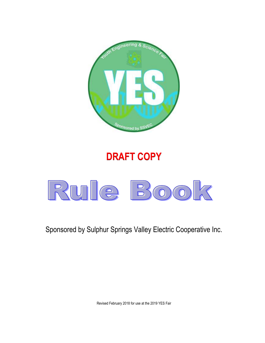

## **DRAFT COPY**



Sponsored by Sulphur Springs Valley Electric Cooperative Inc.

Revised February 2018 for use at the 2019 YES Fair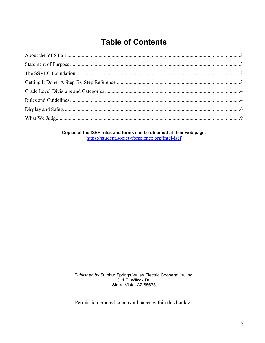## **Table of Contents**

Copies of the ISEF rules and forms can be obtained at their web page. https://student.societyforscience.org/intel-isef

Published by Sulphur Springs Valley Electric Cooperative, Inc. 311 E. Wilcox Dr. Sierra Vista, AZ 85635

Permission granted to copy all pages within this booklet.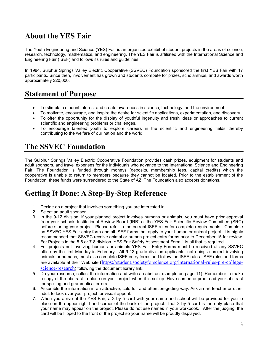## **About the YES Fair**

The Youth Engineering and Science (YES) Fair is an organized exhibit of student projects in the areas of science, research, technology, mathematics, and engineering. The YES Fair is affiliated with the International Science and Engineering Fair (ISEF) and follows its rules and guidelines.

In 1984, Sulphur Springs Valley Electric Cooperative (SSVEC) Foundation sponsored the first YES Fair with 17 participants. Since then, involvement has grown and students compete for prizes, scholarships, and awards worth approximately \$20,000.

## **Statement of Purpose**

- To stimulate student interest and create awareness in science, technology, and the environment.
- To motivate, encourage, and inspire the desire for scientific applications, experimentation, and discovery.
- To offer the opportunity for the display of youthful ingenuity and fresh ideas or approaches to current scientific and engineering problems or challenges.
- To encourage talented youth to explore careers in the scientific and engineering fields thereby contributing to the welfare of our nation and the world.

## **The SSVEC Foundation**

The Sulphur Springs Valley Electric Cooperative Foundation provides cash prizes, equipment for students and adult sponsors, and travel expenses for the individuals who advance to the International Science and Engineering Fair. The Foundation is funded through moneys (deposits, membership fees, capital credits) which the cooperative is unable to return to members because they cannot be located. Prior to the establishment of the Foundation, these funds were surrendered to the State of AZ. The Foundation also accepts donations.

## **Getting It Done: A Step-By-Step Reference**

- 1. Decide on a project that involves something you are interested in.
- 2. Select an adult sponsor.
- 3. In the 9-12 division, if your planned project involves humans or animals, you must have prior approval from your schools Institutional Review Board (IRB) or the YES Fair Scientific Review Committee (SRC) before starting your project. Please refer to the current ISEF rules for complete requirements. Complete an SSVEC YES Fair entry form and all ISEF forms that apply to your human or animal project. It is highly recommended that SSVEC receive animal or human project entry forms prior to December 15 for review. For Projects in the 5-6 or 7-8 division, YES Fair Safety Assessment Form 1 is all that is required.
- 4. For projects not involving humans or animals YES Fair Entry Forms must be received at any SSVEC office by the first Monday in February. All 9-12 grade division applicants, not doing a project involving animals or humans, must also complete ISEF entry forms and follow the ISEF rules. ISEF rules and forms are available at their Web site [\(https://student.societyforscience.org/international-rules-pre-college](https://student.societyforscience.org/international-rules-pre-college-science-research)[science-research](https://student.societyforscience.org/international-rules-pre-college-science-research)) following the document library link.
- 5. Do your research, collect the information and write an abstract (sample on page 11). Remember to make a copy of the abstract to place on your project when it is set up. Have someone proofread your abstract for spelling and grammatical errors.
- 6. Assemble the information in an attractive, colorful, and attention-getting way. Ask an art teacher or other adult to look over your project for visual appeal.
- 7. When you arrive at the YES Fair, a 3 by 5 card with your name and school will be provided for you to place on the upper right-hand corner of the back of the project. That 3 by 5 card is the only place that your name may appear on the project. Please do not use names in your workbook. After the judging, the card will be flipped to the front of the project so your name will be proudly displayed.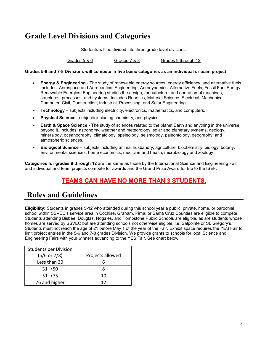## **Grade Level Divisions and Categories**

Students will be divided into three grade level divisions:

Grades 5 & 6 **Grades 7 & 8** Grades 9 through 12

**Grades 5-6 and 7-8 Divisions will compete in five basic categories as an individual or team project:**

- **Energy & Engineering** The study of renewable energy sources, energy efficiency, and alternative fuels. Includes: Aerospace and Aeronautical Engineering, Aerodynamics, Alternative Fuels, Fossil Fuel Energy, Renewable Energies. Engineering studies the design, manufacture, and operation of machines, structures, processes, and systems. Includes Robotics, Material Science, Electrical, Mechanical, Computer, Civil, Construction, Industrial, Processing, and Solar Engineering.
- **Technology** subjects including electricity, electronics, mathematics, and computers.
- **Physical Science** subjects including chemistry, and physics.
- **Earth & Space Science** The study of sciences related to the planet Earth and anything in the universe beyond it. Includes: astronomy, weather and meteorology, solar and planetary systems, geology, mineralogy, oceanography, climatology, speleology, seismology, paleontology, geography, and atmospheric sciences.
- **Biological Science**  subjects including animal husbandry, agriculture, biochemistry, biology, botany, environmental sciences, home economics, medicine and health, microbiology and zoology

**Categories for grades 9 through 12** are the same as those by the International Science and Engineering Fair and individual and team projects compete for awards and the Grand Prize Award for trip to the ISEF.

## **TEAMS CAN HAVE NO MORE THAN 3 STUDENTS.**

## **Rules and Guidelines**

**Eligibility:** Students in grades 5-12 who attended during this school year a public, private, home, or parochial school within SSVEC's service area in Cochise, Graham, Pima, or Santa Cruz Counties are eligible to compete. Students attending Bisbee, Douglas, Nogales, and Tombstone Public Schools are eligible, as are students whose homes are served by SSVEC but are attending schools not otherwise eligible, i.e. Salpointe or St. Gregory's. Students must not reach the age of 21 before May 1 of the year of the Fair. Exhibit space requires the YES Fair to limit project entries in the 5-6 and 7-8 grades Division. We provide grants to schools for local Science and Engineering Fairs with your winners advancing to the YES Fair. See chart below:

| <b>Students per Division</b> |                  |
|------------------------------|------------------|
| $(5/6$ or 7/8)               | Projects allowed |
| Less than 30                 |                  |
| $31 \rightarrow 50$          |                  |
| $51 \rightarrow 75$          | 10               |
| 76 and higher                | 12               |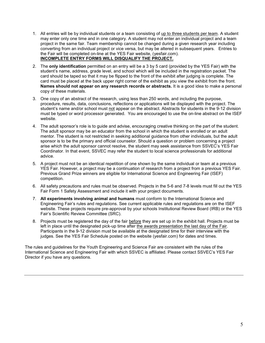- 1. All entries will be by individual students or a team consisting of up to three students per team. A student may enter only one time and in one category. A student may not enter an individual project and a team project in the same fair. Team membership cannot be changed during a given research year including converting from an individual project or vice versa, but may be altered in subsequent years. Entries to the Fair will be completed on-line at the YES Fair website, (yesfair.com). **INCOMPLETE ENTRY FORMS WILL DISQUALIFY THE PROJECT.**
- 2. The **only identification** permitted on an entry will be a 3 by 5 card (provided by the YES Fair) with the student's name, address, grade level, and school which will be included in the registration packet. The card should be taped so that it may be flipped to the front of the exhibit after judging is complete. The card must be placed at the back upper right corner of the exhibit as you view the exhibit from the front. **Names should not appear on any research records or abstracts.** It is a good idea to make a personal copy of these materials.
- 3. One copy of an abstract of the research, using less than 250 words, and including the purpose, procedure, results, data, conclusions, reflections or applications will be displayed with the project. The student's name and/or school must not appear on the abstract. Abstracts for students in the 9-12 division must be typed or word processor generated. You are encouraged to use the on-line abstract on the ISEF website.
- 4. The adult sponsor's role is to guide and advise, encouraging creative thinking on the part of the student. The adult sponsor may be an educator from the school in which the student is enrolled or an adult mentor. The student is not restricted in seeking additional guidance from other individuals, but the adult sponsor is to be the primary and official counselor. Should a question or problem concerning a project arise which the adult sponsor cannot resolve, the student may seek assistance from SSVEC's YES Fair Coordinator. In that event, SSVEC may refer the student to local science professionals for additional advice.
- 5. A project must not be an identical repetition of one shown by the same individual or team at a previous YES Fair. However, a project may be a continuation of research from a project from a previous YES Fair. Previous Grand Prize winners are eligible for International Science and Engineering Fair (ISEF) competition.
- 6. All safety precautions and rules must be observed. Projects in the 5-6 and 7-8 levels must fill out the YES Fair Form 1 Safety Assessment and include it with your project documents.
- 7. **All experiments involving animal and humans** must conform to the International Science and Engineering Fair's rules and regulations. See current applicable rules and regulations are on the ISEF website. These projects require pre-approval by your schools Institutional Review Board (IRB) or the YES Fair's Scientific Review Committee (SRC).
- 8. Projects must be registered the day of the fair before they are set up in the exhibit hall. Projects must be left in place until the designated pick-up time after the awards presentation the last day of the Fair. Participants in the 9-12 division must be available at the designated time for their interview with the judges. See the YES Fair Schedule posted on the website (yesfair.com) for dates and times.

The rules and guidelines for the Youth Engineering and Science Fair are consistent with the rules of the International Science and Engineering Fair with which SSVEC is affiliated. Please contact SSVEC's YES Fair Director if you have any questions.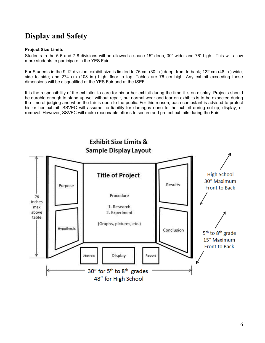## **Display and Safety**

### **Project Size Limits**

Students in the 5-6 and 7-8 divisions will be allowed a space 15" deep, 30" wide, and 76" high. This will allow more students to participate in the YES Fair.

For Students in the 9-12 division, exhibit size is limited to 76 cm (30 in.) deep, front to back; 122 cm (48 in.) wide, side to side; and 274 cm (108 in.) high, floor to top. Tables are 76 cm high. Any exhibit exceeding these dimensions will be disqualified at the YES Fair and at the ISEF.

It is the responsibility of the exhibitor to care for his or her exhibit during the time it is on display. Projects should be durable enough to stand up well without repair, but normal wear and tear on exhibits is to be expected during the time of judging and when the fair is open to the public. For this reason, each contestant is advised to protect his or her exhibit. SSVEC will assume no liability for damages done to the exhibit during set-up, display, or removal. However, SSVEC will make reasonable efforts to secure and protect exhibits during the Fair.

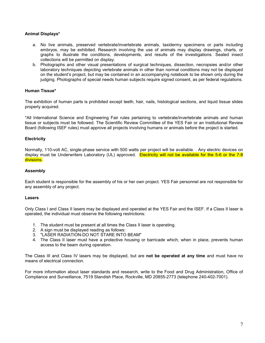### **Animal Displays\***

- a. No live animals, preserved vertebrate/invertebrate animals, taxidermy specimens or parts including embryos, may be exhibited. Research involving the use of animals may display drawings, charts, or graphs to illustrate the conditions, developments, and results of the investigations. Sealed insect collections will be permitted on display.
- b. Photographs and other visual presentations of surgical techniques, dissection, necropsies and/or other laboratory techniques depicting vertebrate animals in other than normal conditions may not be displayed on the student's project, but may be contained in an accompanying notebook to be shown only during the judging. Photographs of special needs human subjects require signed consent, as per federal regulations.

### **Human Tissue\***

The exhibition of human parts is prohibited except teeth, hair, nails, histological sections, and liquid tissue slides properly acquired.

\*All International Science and Engineering Fair rules pertaining to vertebrate/invertebrate animals and human tissue or subjects must be followed. The Scientific Review Committee of the YES Fair or an Institutional Review Board (following ISEF rules) must approve all projects involving humans or animals before the project is started.

### **Electricity**

Normally, 110-volt AC, single-phase service with 500 watts per project will be available. . Any electric devices on display must be Underwriters Laboratory (UL) approved. Electricity will not be available for the 5-6 or the 7-8 divisions.

### **Assembly**

Each student is responsible for the assembly of his or her own project. YES Fair personnel are not responsible for any assembly of any project.

#### **Lasers**

Only Class I and Class II lasers may be displayed and operated at the YES Fair and the ISEF. If a Class II laser is operated, the individual must observe the following restrictions:

- 1. The student must be present at all times the Class II laser is operating.
- 2. A sign must be displayed reading as follows:
- 3. "LASER RADIATION-DO NOT STARE INTO BEAM"
- 4. The Class II laser must have a protective housing or barricade which, when in place, prevents human access to the beam during operation.

The Class III and Class IV lasers may be displayed, but are **not be operated at any time** and must have no means of electrical connection.

For more information about laser standards and research, write to the Food and Drug Administration, Office of Compliance and Surveillance, 7519 Standish Place, Rockville, MD 20855-2773 (telephone 240-402-7001).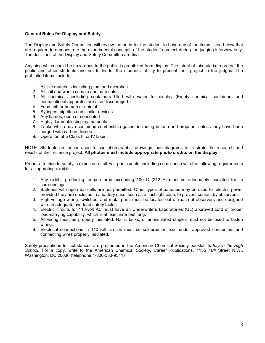### **General Rules for Display and Safety**

The Display and Safety Committee will review the need for the student to have any of the items listed below that are required to demonstrate the experimental concepts of the student's project during the judging interview only. The decisions of the Display and Safety Committee are final.

Anything which could be hazardous to the public is prohibited from display. The intent of this rule is to protect the public and other students and not to hinder the students' ability to present their project to the judges. The prohibited items include:

- 1. All live materials including plant and microbes
- 2. All soil and waste sample and materials
- 3. All chemicals including containers filled with water for display (Empty chemical containers and nonfunctional apparatus are also discouraged.)
- 4. Food, either human or animal
- 5. Syringes, pipettes and similar devices
- 6. Any flames, open or concealed
- 7. Highly flammable display materials
- 8. Tanks which have contained combustible gases, including butane and propane, unless they have been purged with carbon dioxide
- 9. Operation of a Class III or IV laser

NOTE: Students are encouraged to use photographs, drawings, and diagrams to illustrate the research and results of their science project. **All photos must include appropriate photo credits on the display.**

Proper attention to safety is expected of all Fair participants, including compliance with the following requirements for all operating exhibits:

- 1. Any exhibit producing temperatures exceeding 100 C (212 F) must be adequately insulated for its surroundings.
- 2. Batteries with open top cells are not permitted. Other types of batteries may be used for electric power provided they are enclosed in a battery case, such as a flashlight case, to prevent contact by observers.
- 3. High voltage wiring, switches, and metal parts must be located out of reach of observers and designed with an adequate overload safety factor.
- 4. Electric circuits for 110-volt AC must have an Underwriters Laboratories (UL) approved cord of proper load-carrying capability, which is at least nine feet long.
- 5. All wiring must be properly insulated. Nails, tacks, or un-insulated staples must not be used to fasten wiring.
- 6. Electrical connections in 110-volt circuits must be soldered or fixed under approved connectors and connecting wires properly insulated.

Safety precautions for substances are presented in the American Chemical Society booklet, *Safety in the High*  School. For a copy, write to the American Chemical Society, Career Publications, 1155 16<sup>th</sup> Street N.W., Washington, DC 20036 (telephone 1-800-333-9511)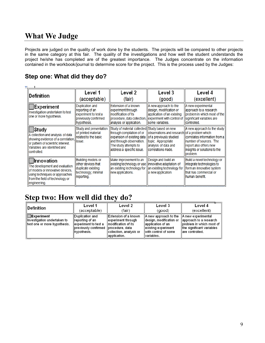## **What We Judge**

Projects are judged on the quality of work done by the students. The projects will be compared to other projects in the same category at this fair. The quality of the investigations and how well the student understands the project he/she has completed are of the greatest importance. The Judges concentrate on the information contained in the workbook/journal to determine score for the project. This is the process used by the Judges:

### **Step one: What did they do?**

| Definition                                                                                                                                                            | Level 1                                                                                             | Level 2                                                                                                                                                                                     | Level 3                                                                                                                    | Level 4                                                                                                                                                                             |  |
|-----------------------------------------------------------------------------------------------------------------------------------------------------------------------|-----------------------------------------------------------------------------------------------------|---------------------------------------------------------------------------------------------------------------------------------------------------------------------------------------------|----------------------------------------------------------------------------------------------------------------------------|-------------------------------------------------------------------------------------------------------------------------------------------------------------------------------------|--|
|                                                                                                                                                                       | (acceptable)                                                                                        | (fair)                                                                                                                                                                                      | (good)                                                                                                                     | (excellent)                                                                                                                                                                         |  |
| Experiment<br>Investigation undertaken to test<br>one or more hypothesis.                                                                                             | Duplication and<br>reporting of an<br>experiment to test a<br>previously confirmed<br>hypothesis.   | Extension of a known<br>experiment through<br>modification of its<br>procedure, data collection, lexperiment with control of lsignificant variables are<br>analysis or application.         | A new approach to the<br>design, modification or<br>application of an existing<br>some variables.                          | A new experimental<br>approach to a research<br>problem in which most of the<br>controlled.                                                                                         |  |
| Study<br>A collection and analysis of data<br>showing evidence of a correlation,<br>or pattern of scientific interest.<br>Variables are identified and<br>controlled. | Study and presentation<br>of printed material<br>related to the basic<br>issue.                     | Study of material collected Study based on new<br>through compilation of or<br>expansion of existing data<br>and through observation.<br>The study attempts to<br>address a specific issue. | lobservations and research<br>lof a previously studied<br>topic. Appropriate<br>analysis of data and<br>correlations made. | A new approach to the study<br>of a problem which<br>correlates information from a<br>Inumber of sources. The<br>report also offers new<br>insights or solutions to the<br>problem. |  |
| Innovation<br>The development and evaluation<br>of models or innovative devices.<br>using techniques or approaches<br>from the field of technology or<br>engineering. | Building models or<br>other devices that<br>duplicate existing<br>technology; minimal<br>reporting. | Make improvement to an<br>existing technology or use llinnovative adaptation of<br>an existing technology for<br>new applications.                                                          | Design and build an<br>an existing technology for<br>a new application.                                                    | Build a novel technology or<br>integrate technologies to<br>form an innovative system<br>that has commercial or<br>human benefit.                                                   |  |

## **Step two: How well did they do?**

| ∥Definition                                                                                | Level 1                                                                                                               | Level 2                                                                                                         | Level 3                                                                                                                               | Level 4                                                                                                                   |
|--------------------------------------------------------------------------------------------|-----------------------------------------------------------------------------------------------------------------------|-----------------------------------------------------------------------------------------------------------------|---------------------------------------------------------------------------------------------------------------------------------------|---------------------------------------------------------------------------------------------------------------------------|
|                                                                                            | (acceptable)                                                                                                          | (fair)                                                                                                          | (good)                                                                                                                                | (excellent)                                                                                                               |
| $\blacksquare$ Experiment<br>llnvestigation undertaken to<br>∥test one or more hypothesis. | Duplication and<br>∥reporting of an<br>experiment to test a<br>∥pre∨iously confirmed ∥procedure, data<br>∥hypothesis. | ∥Extension of a known<br>experiment through<br>Imodification of its<br>∥collection, analysis or<br>application. | A new approach to the<br>∥design, modification or<br>lapplication of an<br>∥existing experiment<br>with control of some<br>variables. | A new experimental<br>approach to a research<br>problem in which most of<br>the significant variables<br>lare controlled. |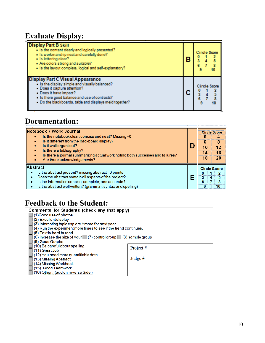## **Evaluate Display:**

| <b>Display Part B Skill</b><br>. Is the content dearly and logically presented?<br>. Is workmanship neat and carefully done?<br>· Is lettering clear?<br>. Are colors strong and suitable?<br>. Is the layout complete, logical and self-explanatory?           | <b>Circle Score</b><br>8<br>10 |
|-----------------------------------------------------------------------------------------------------------------------------------------------------------------------------------------------------------------------------------------------------------------|--------------------------------|
| <b>Display Part C Visual Appearance</b><br>. Is the display simple and visually balanced?<br>. Does it capture attention?<br>• Does it have impact?<br>. Is there good balance and use of contrasts?<br>. Do the blackboards, table and displays meld together? | <b>Circle Score</b><br>8<br>10 |

## **Documentation:**

| Notebook / Work Journal<br>Is the notebook clear, concise and neat? Missing=0<br>Is it different from the backboard display?                                                                                                                        |  | <b>Circle Score</b><br>6 |               |
|-----------------------------------------------------------------------------------------------------------------------------------------------------------------------------------------------------------------------------------------------------|--|--------------------------|---------------|
| Is it well organized?<br>Is there a bibliography?<br>Is there a journal summarizing actual work noting both successes and failures?<br>Are there acknowledgements?                                                                                  |  | 14                       | 8<br>12<br>16 |
|                                                                                                                                                                                                                                                     |  | 18                       | 20            |
| Abstract<br>Is the abstract present? missing abstract=0 points<br>Does the abstract contain all aspects of the project?<br>Is the information concise, complete, and accurate?<br>۰<br>Is the abstract well written? (grammar, syntax and spelling) |  | <b>Circle Score</b><br>a | 5<br>10       |

# **Feedback to the Student:**<br>Comments for Students (check any that apply)

- 
- 
- 
- $\Box$ (1) Good use of photos<br>  $\Box$ (2) Excellent display<br>  $\Box$ (3) Interesting topic explore it more for next year<br>  $\Box$ (4) Run the experiment more times to see if the trend continues.
	-
- □ (5) Text is hard to read<br>□ (6) Increase the size of your (7) control group (8) sample group
- 
- 
- 
- □ (6) Increase the size of your □ (7) cor<br>
□ (9) Good Graphs<br>
□ (10) Be careful about spelling<br>
□ (11) Great Job<br>
□ (12) You need more quantifiable data<br>
□ (13) Missing Abstract<br>
□ (14) Missing Workbook<br>
□ (15) Good Teamw
	-
	-
	-
	-

Project #

Judge #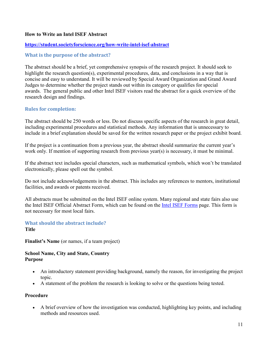### **How to Write an Intel ISEF Abstract**

### **<https://student.societyforscience.org/how-write-intel-isef-abstract>**

### **What is the purpose of the abstract?**

The abstract should be a brief, yet comprehensive synopsis of the research project. It should seek to highlight the research question(s), experimental procedures, data, and conclusions in a way that is concise and easy to understand. It will be reviewed by Special Award Organization and Grand Award Judges to determine whether the project stands out within its category or qualifies for special awards. The general public and other Intel ISEF visitors read the abstract for a quick overview of the research design and findings.

### **Rules for completion:**

The abstract should be 250 words or less. Do not discuss specific aspects of the research in great detail, including experimental procedures and statistical methods. Any information that is unnecessary to include in a brief explanation should be saved for the written research paper or the project exhibit board.

If the project is a continuation from a previous year, the abstract should summarize the current year's work only. If mention of supporting research from previous year(s) is necessary, it must be minimal.

If the abstract text includes special characters, such as mathematical symbols, which won't be translated electronically, please spell out the symbol.

Do not include acknowledgements in the abstract. This includes any references to mentors, institutional facilities, and awards or patents received.

All abstracts must be submitted on the Intel ISEF online system. Many regional and state fairs also use the Intel ISEF Official Abstract Form, which can be found on the [Intel ISEF Forms](https://student.societyforscience.org/intel-isef-forms) page. This form is not necessary for most local fairs.

### **What should the abstract include? Title**

**Finalist's Name** (or names, if a team project)

### **School Name, City and State, Country Purpose**

- An introductory statement providing background, namely the reason, for investigating the project topic.
- A statement of the problem the research is looking to solve or the questions being tested.

### **Procedure**

• A brief overview of how the investigation was conducted, highlighting key points, and including methods and resources used.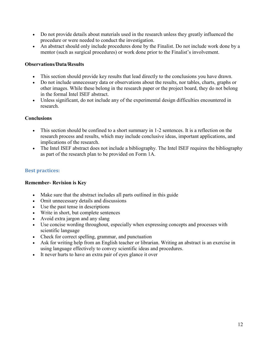- Do not provide details about materials used in the research unless they greatly influenced the procedure or were needed to conduct the investigation.
- An abstract should only include procedures done by the Finalist. Do not include work done by a mentor (such as surgical procedures) or work done prior to the Finalist's involvement.

### **Observations/Data/Results**

- This section should provide key results that lead directly to the conclusions you have drawn.
- Do not include unnecessary data or observations about the results, nor tables, charts, graphs or other images. While these belong in the research paper or the project board, they do not belong in the formal Intel ISEF abstract.
- Unless significant, do not include any of the experimental design difficulties encountered in research.

### **Conclusions**

- This section should be confined to a short summary in 1-2 sentences. It is a reflection on the research process and results, which may include conclusive ideas, important applications, and implications of the research.
- The Intel ISEF abstract does not include a bibliography. The Intel ISEF requires the bibliography as part of the research plan to be provided on Form 1A.

### **Best practices:**

### **Remember- Revision is Key**

- Make sure that the abstract includes all parts outlined in this guide
- Omit unnecessary details and discussions
- Use the past tense in descriptions
- Write in short, but complete sentences
- Avoid extra jargon and any slang
- Use concise wording throughout, especially when expressing concepts and processes with scientific language
- Check for correct spelling, grammar, and punctuation
- Ask for writing help from an English teacher or librarian. Writing an abstract is an exercise in using language effectively to convey scientific ideas and procedures.
- It never hurts to have an extra pair of eyes glance it over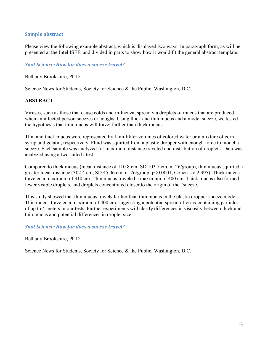### **Sample abstract**

Please view the following example abstract, which is displayed two ways: In paragraph form, as will be presented at the Intel ISEF, and divided in parts to show how it would fit the general abstract template.

### *Snot Science: How far does a sneeze travel?*

Bethany Brookshire, Ph.D.

Science News for Students, Society for Science & the Public, Washington, D.C.

### **ABSTRACT**

Viruses, such as those that cause colds and influenza, spread via droplets of mucus that are produced when an infected person sneezes or coughs. Using thick and thin mucus and a model sneeze, we tested the hypothesis that thin mucus will travel farther than thick mucus.

Thin and thick mucus were represented by 1-milliliter volumes of colored water or a mixture of corn syrup and gelatin, respectively. Fluid was squirted from a plastic dropper with enough force to model a sneeze. Each sample was analyzed for maximum distance traveled and distribution of droplets. Data was analyzed using a two-tailed t test.

Compared to thick mucus (mean distance of 110.8 cm, SD 103.7 cm, n=26/group), thin mucus squirted a greater mean distance (302.4 cm, SD 45.06 cm, n=26/group, p<0.0001, Cohen's d 2.395). Thick mucus traveled a maximum of 310 cm. Thin mucus traveled a maximum of 400 cm. Thick mucus also formed fewer visible droplets, and droplets concentrated closer to the origin of the "sneeze."

This study showed that thin mucus travels farther than thin mucus in the plastic dropper sneeze model. Thin mucus traveled a maximum of 400 cm, suggesting a potential spread of virus-containing particles of up to 4 meters in our tests. Further experiments will clarify differences in viscosity between thick and thin mucus and potential differences in droplet size.

### *Snot Science: How far does a sneeze travel?*

Bethany Brookshire, Ph.D.

Science News for Students, Society for Science & the Public, Washington, D.C.